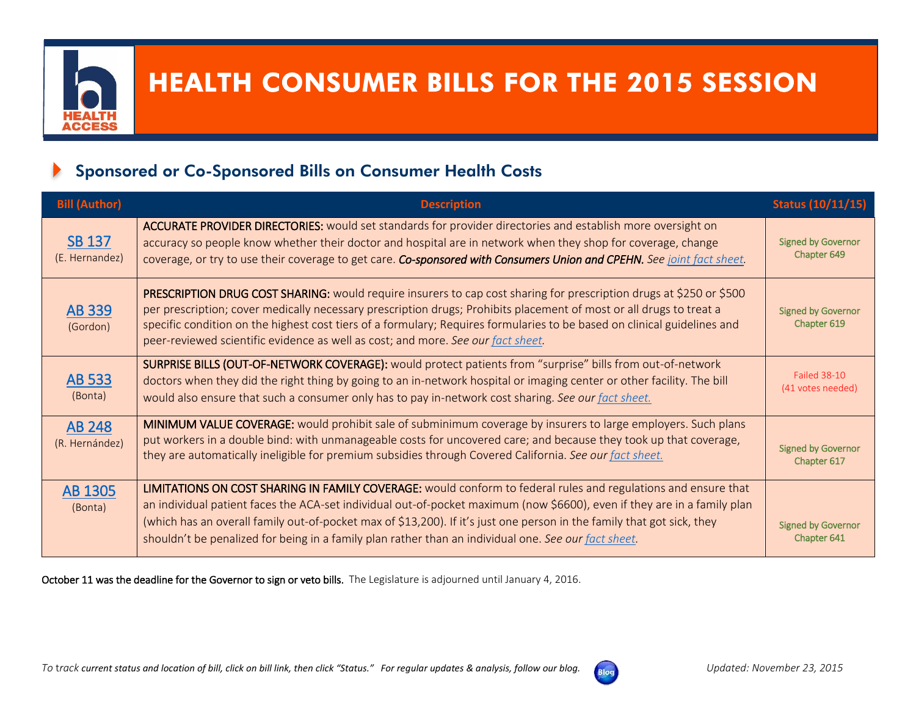

# HEALTH CONSUMER BILLS FOR THE 2015 SESSION

## Sponsored or Co-Sponsored Bills on Consumer Health Costs

| <b>Bill (Author)</b>            | <b>Description</b>                                                                                                                                                                                                                                                                                                                                                                                                                                                           | <b>Status (10/11/15)</b>                 |
|---------------------------------|------------------------------------------------------------------------------------------------------------------------------------------------------------------------------------------------------------------------------------------------------------------------------------------------------------------------------------------------------------------------------------------------------------------------------------------------------------------------------|------------------------------------------|
| <b>SB 137</b><br>(E. Hernandez) | ACCURATE PROVIDER DIRECTORIES: would set standards for provider directories and establish more oversight on<br>accuracy so people know whether their doctor and hospital are in network when they shop for coverage, change<br>coverage, or try to use their coverage to get care. Co-sponsored with Consumers Union and CPEHN. See joint fact sheet.                                                                                                                        | <b>Signed by Governor</b><br>Chapter 649 |
| <b>AB 339</b><br>(Gordon)       | PRESCRIPTION DRUG COST SHARING: would require insurers to cap cost sharing for prescription drugs at \$250 or \$500<br>per prescription; cover medically necessary prescription drugs; Prohibits placement of most or all drugs to treat a<br>specific condition on the highest cost tiers of a formulary; Requires formularies to be based on clinical guidelines and<br>peer-reviewed scientific evidence as well as cost; and more. See our fact sheet.                   | <b>Signed by Governor</b><br>Chapter 619 |
| AB 533<br>(Bonta)               | SURPRISE BILLS (OUT-OF-NETWORK COVERAGE): would protect patients from "surprise" bills from out-of-network<br>doctors when they did the right thing by going to an in-network hospital or imaging center or other facility. The bill<br>would also ensure that such a consumer only has to pay in-network cost sharing. See our fact sheet.                                                                                                                                  | <b>Failed 38-10</b><br>(41 votes needed) |
| <b>AB 248</b><br>(R. Hernández) | MINIMUM VALUE COVERAGE: would prohibit sale of subminimum coverage by insurers to large employers. Such plans<br>put workers in a double bind: with unmanageable costs for uncovered care; and because they took up that coverage,<br>they are automatically ineligible for premium subsidies through Covered California. See our fact sheet.                                                                                                                                | <b>Signed by Governor</b><br>Chapter 617 |
| <b>AB 1305</b><br>(Bonta)       | LIMITATIONS ON COST SHARING IN FAMILY COVERAGE: would conform to federal rules and regulations and ensure that<br>an individual patient faces the ACA-set individual out-of-pocket maximum (now \$6600), even if they are in a family plan<br>(which has an overall family out-of-pocket max of \$13,200). If it's just one person in the family that got sick, they<br>shouldn't be penalized for being in a family plan rather than an individual one. See our fact sheet. | <b>Signed by Governor</b><br>Chapter 641 |

October 11 was the deadline for the Governor to sign or veto bills. The Legislature is adjourned until January 4, 2016.

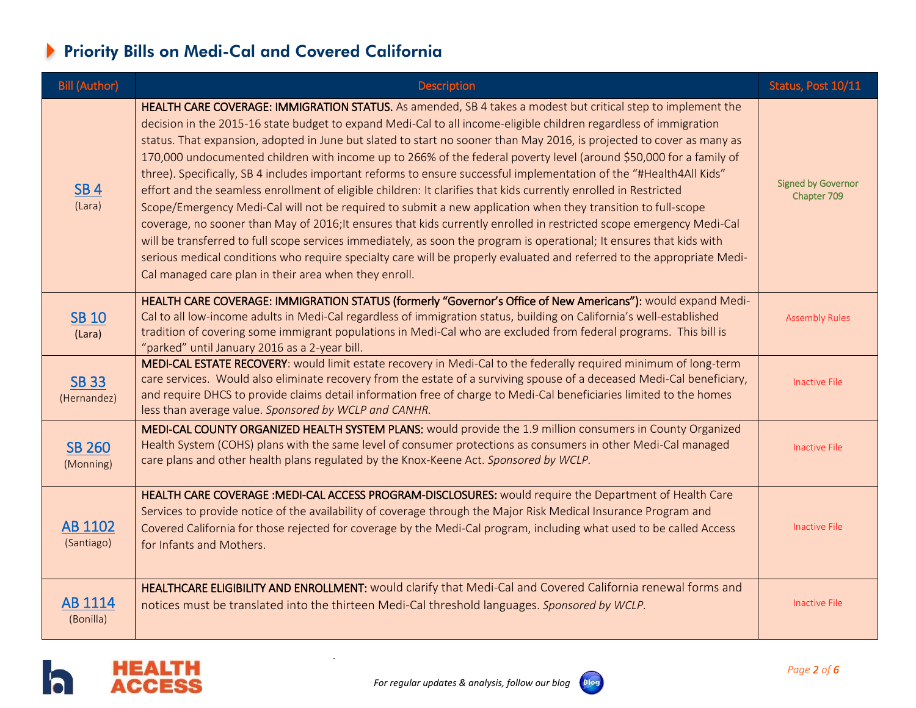# Priority Bills on Medi-Cal and Covered California

| <b>Bill (Author)</b>        | <b>Description</b>                                                                                                                                                                                                                                                                                                                                                                                                                                                                                                                                                                                                                                                                                                                                                                                                                                                                                                                                                                                                                                                                                                                                                                                                                                                              | Status, Post 10/11                       |
|-----------------------------|---------------------------------------------------------------------------------------------------------------------------------------------------------------------------------------------------------------------------------------------------------------------------------------------------------------------------------------------------------------------------------------------------------------------------------------------------------------------------------------------------------------------------------------------------------------------------------------------------------------------------------------------------------------------------------------------------------------------------------------------------------------------------------------------------------------------------------------------------------------------------------------------------------------------------------------------------------------------------------------------------------------------------------------------------------------------------------------------------------------------------------------------------------------------------------------------------------------------------------------------------------------------------------|------------------------------------------|
| <b>SB4</b><br>(Lara)        | HEALTH CARE COVERAGE: IMMIGRATION STATUS. As amended, SB 4 takes a modest but critical step to implement the<br>decision in the 2015-16 state budget to expand Medi-Cal to all income-eligible children regardless of immigration<br>status. That expansion, adopted in June but slated to start no sooner than May 2016, is projected to cover as many as<br>170,000 undocumented children with income up to 266% of the federal poverty level (around \$50,000 for a family of<br>three). Specifically, SB 4 includes important reforms to ensure successful implementation of the "#Health4All Kids"<br>effort and the seamless enrollment of eligible children: It clarifies that kids currently enrolled in Restricted<br>Scope/Emergency Medi-Cal will not be required to submit a new application when they transition to full-scope<br>coverage, no sooner than May of 2016; It ensures that kids currently enrolled in restricted scope emergency Medi-Cal<br>will be transferred to full scope services immediately, as soon the program is operational; It ensures that kids with<br>serious medical conditions who require specialty care will be properly evaluated and referred to the appropriate Medi-<br>Cal managed care plan in their area when they enroll. | <b>Signed by Governor</b><br>Chapter 709 |
| <b>SB 10</b><br>(Lara)      | HEALTH CARE COVERAGE: IMMIGRATION STATUS (formerly "Governor's Office of New Americans"): would expand Medi-<br>Cal to all low-income adults in Medi-Cal regardless of immigration status, building on California's well-established<br>tradition of covering some immigrant populations in Medi-Cal who are excluded from federal programs. This bill is<br>"parked" until January 2016 as a 2-year bill.                                                                                                                                                                                                                                                                                                                                                                                                                                                                                                                                                                                                                                                                                                                                                                                                                                                                      | <b>Assembly Rules</b>                    |
| <b>SB 33</b><br>(Hernandez) | MEDI-CAL ESTATE RECOVERY: would limit estate recovery in Medi-Cal to the federally required minimum of long-term<br>care services. Would also eliminate recovery from the estate of a surviving spouse of a deceased Medi-Cal beneficiary,<br>and require DHCS to provide claims detail information free of charge to Medi-Cal beneficiaries limited to the homes<br>less than average value. Sponsored by WCLP and CANHR.                                                                                                                                                                                                                                                                                                                                                                                                                                                                                                                                                                                                                                                                                                                                                                                                                                                      | <b>Inactive File</b>                     |
| <b>SB 260</b><br>(Monning)  | MEDI-CAL COUNTY ORGANIZED HEALTH SYSTEM PLANS: would provide the 1.9 million consumers in County Organized<br>Health System (COHS) plans with the same level of consumer protections as consumers in other Medi-Cal managed<br>care plans and other health plans regulated by the Knox-Keene Act. Sponsored by WCLP.                                                                                                                                                                                                                                                                                                                                                                                                                                                                                                                                                                                                                                                                                                                                                                                                                                                                                                                                                            | Inactive File                            |
| AB 1102<br>(Santiago)       | HEALTH CARE COVERAGE : MEDI-CAL ACCESS PROGRAM-DISCLOSURES: would require the Department of Health Care<br>Services to provide notice of the availability of coverage through the Major Risk Medical Insurance Program and<br>Covered California for those rejected for coverage by the Medi-Cal program, including what used to be called Access<br>for Infants and Mothers.                                                                                                                                                                                                                                                                                                                                                                                                                                                                                                                                                                                                                                                                                                                                                                                                                                                                                                   | <b>Inactive File</b>                     |
| AB 1114<br>(Bonilla)        | HEALTHCARE ELIGIBILITY AND ENROLLMENT: would clarify that Medi-Cal and Covered California renewal forms and<br>notices must be translated into the thirteen Medi-Cal threshold languages. Sponsored by WCLP.                                                                                                                                                                                                                                                                                                                                                                                                                                                                                                                                                                                                                                                                                                                                                                                                                                                                                                                                                                                                                                                                    | Inactive File                            |



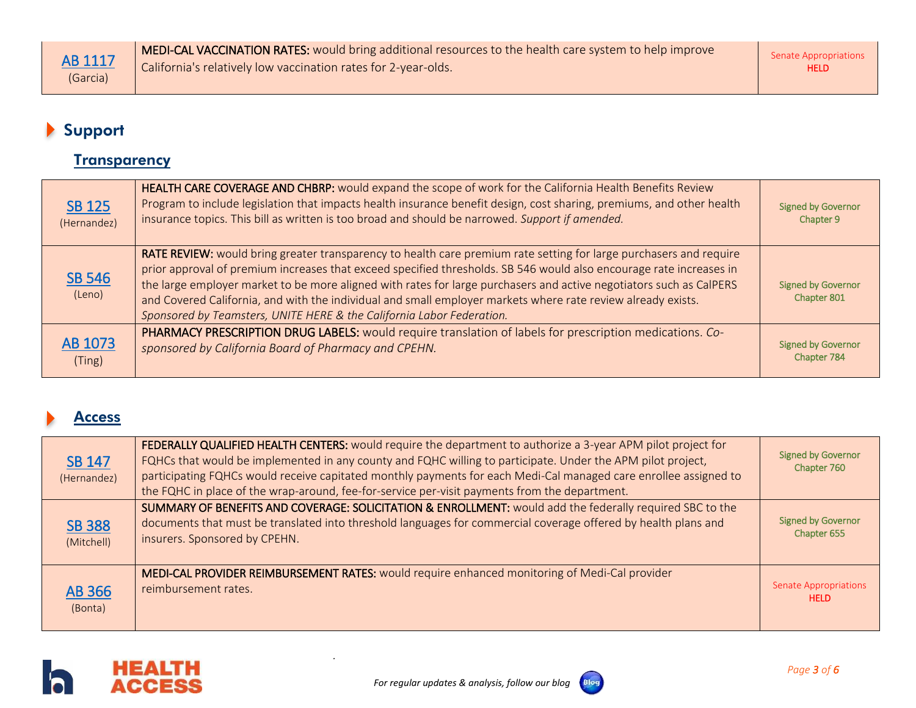# Support

#### **Transparency**

| SB 125<br>(Hernandez)   | HEALTH CARE COVERAGE AND CHBRP: would expand the scope of work for the California Health Benefits Review<br>Program to include legislation that impacts health insurance benefit design, cost sharing, premiums, and other health<br>insurance topics. This bill as written is too broad and should be narrowed. Support if amended.                                                                                                                                                                                                                      | <b>Signed by Governor</b><br>Chapter 9   |
|-------------------------|-----------------------------------------------------------------------------------------------------------------------------------------------------------------------------------------------------------------------------------------------------------------------------------------------------------------------------------------------------------------------------------------------------------------------------------------------------------------------------------------------------------------------------------------------------------|------------------------------------------|
| <b>SB 546</b><br>(Leno) | RATE REVIEW: would bring greater transparency to health care premium rate setting for large purchasers and require<br>prior approval of premium increases that exceed specified thresholds. SB 546 would also encourage rate increases in<br>the large employer market to be more aligned with rates for large purchasers and active negotiators such as CalPERS<br>and Covered California, and with the individual and small employer markets where rate review already exists.<br>Sponsored by Teamsters, UNITE HERE & the California Labor Federation. | <b>Signed by Governor</b><br>Chapter 801 |
| AB 1073<br>(Ting)       | PHARMACY PRESCRIPTION DRUG LABELS: would require translation of labels for prescription medications. Co-<br>sponsored by California Board of Pharmacy and CPEHN.                                                                                                                                                                                                                                                                                                                                                                                          | <b>Signed by Governor</b><br>Chapter 784 |

#### Access

| <b>SB 147</b><br>(Hernandez) | FEDERALLY QUALIFIED HEALTH CENTERS: would require the department to authorize a 3-year APM pilot project for<br>FQHCs that would be implemented in any county and FQHC willing to participate. Under the APM pilot project,<br>participating FQHCs would receive capitated monthly payments for each Medi-Cal managed care enrollee assigned to<br>the FQHC in place of the wrap-around, fee-for-service per-visit payments from the department. | <b>Signed by Governor</b><br>Chapter 760    |
|------------------------------|--------------------------------------------------------------------------------------------------------------------------------------------------------------------------------------------------------------------------------------------------------------------------------------------------------------------------------------------------------------------------------------------------------------------------------------------------|---------------------------------------------|
| <b>SB 388</b><br>(Mitchell)  | SUMMARY OF BENEFITS AND COVERAGE: SOLICITATION & ENROLLMENT: would add the federally required SBC to the<br>documents that must be translated into threshold languages for commercial coverage offered by health plans and<br>insurers. Sponsored by CPEHN.                                                                                                                                                                                      | <b>Signed by Governor</b><br>Chapter 655    |
| <b>AB 366</b><br>(Bonta)     | MEDI-CAL PROVIDER REIMBURSEMENT RATES: would require enhanced monitoring of Medi-Cal provider<br>reimbursement rates.                                                                                                                                                                                                                                                                                                                            | <b>Senate Appropriations</b><br><b>HELD</b> |



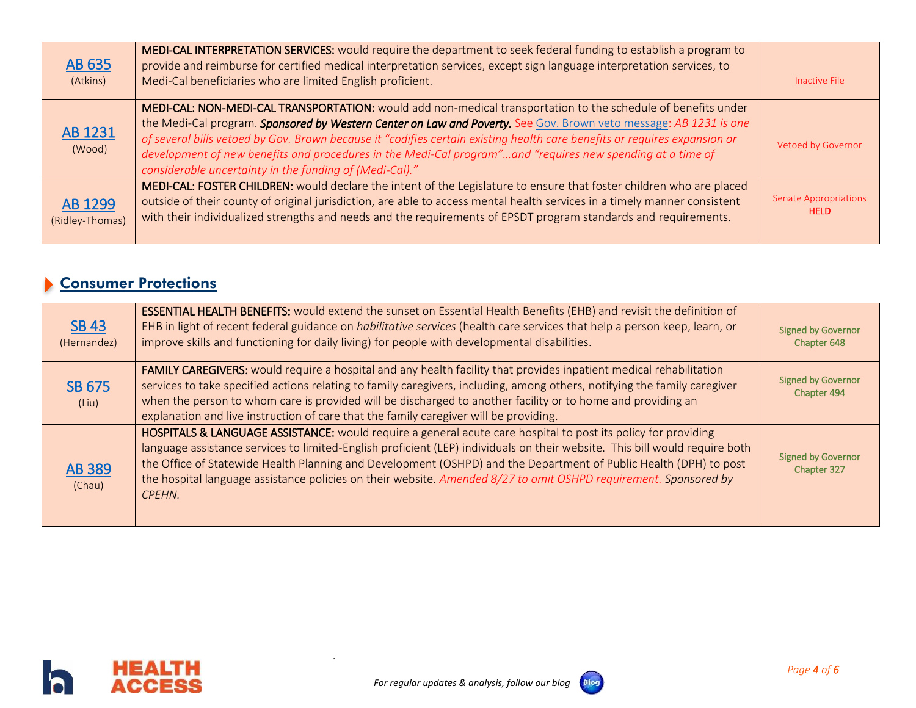| AB 635<br>(Atkins)         | MEDI-CAL INTERPRETATION SERVICES: would require the department to seek federal funding to establish a program to<br>provide and reimburse for certified medical interpretation services, except sign language interpretation services, to<br>Medi-Cal beneficiaries who are limited English proficient.                                                                                                                                                                                                                                  | Inactive File                               |
|----------------------------|------------------------------------------------------------------------------------------------------------------------------------------------------------------------------------------------------------------------------------------------------------------------------------------------------------------------------------------------------------------------------------------------------------------------------------------------------------------------------------------------------------------------------------------|---------------------------------------------|
| AB 1231<br>(Wood)          | MEDI-CAL: NON-MEDI-CAL TRANSPORTATION: would add non-medical transportation to the schedule of benefits under<br>the Medi-Cal program. Sponsored by Western Center on Law and Poverty. See Gov. Brown veto message: AB 1231 is one<br>of several bills vetoed by Gov. Brown because it "codifies certain existing health care benefits or requires expansion or<br>development of new benefits and procedures in the Medi-Cal program"and "requires new spending at a time of<br>considerable uncertainty in the funding of (Medi-Cal)." | Vetoed by Governor                          |
| AB 1299<br>(Ridley-Thomas) | MEDI-CAL: FOSTER CHILDREN: would declare the intent of the Legislature to ensure that foster children who are placed<br>outside of their county of original jurisdiction, are able to access mental health services in a timely manner consistent<br>with their individualized strengths and needs and the requirements of EPSDT program standards and requirements.                                                                                                                                                                     | <b>Senate Appropriations</b><br><b>HELD</b> |

## Consumer Protections

| <b>SB 43</b><br>(Hernandez) | <b>ESSENTIAL HEALTH BENEFITS:</b> would extend the sunset on Essential Health Benefits (EHB) and revisit the definition of<br>EHB in light of recent federal guidance on <i>habilitative services</i> (health care services that help a person keep, learn, or<br>improve skills and functioning for daily living) for people with developmental disabilities.                                                                                                                                  | <b>Signed by Governor</b><br>Chapter 648 |
|-----------------------------|-------------------------------------------------------------------------------------------------------------------------------------------------------------------------------------------------------------------------------------------------------------------------------------------------------------------------------------------------------------------------------------------------------------------------------------------------------------------------------------------------|------------------------------------------|
| SB 675<br>(Liu)             | FAMILY CAREGIVERS: would require a hospital and any health facility that provides inpatient medical rehabilitation<br>services to take specified actions relating to family caregivers, including, among others, notifying the family caregiver<br>when the person to whom care is provided will be discharged to another facility or to home and providing an<br>explanation and live instruction of care that the family caregiver will be providing.                                         | <b>Signed by Governor</b><br>Chapter 494 |
| <b>AB 389</b><br>(Chau)     | HOSPITALS & LANGUAGE ASSISTANCE: would require a general acute care hospital to post its policy for providing<br>language assistance services to limited-English proficient (LEP) individuals on their website. This bill would require both<br>the Office of Statewide Health Planning and Development (OSHPD) and the Department of Public Health (DPH) to post<br>the hospital language assistance policies on their website. Amended 8/27 to omit OSHPD requirement. Sponsored by<br>CPEHN. | <b>Signed by Governor</b><br>Chapter 327 |



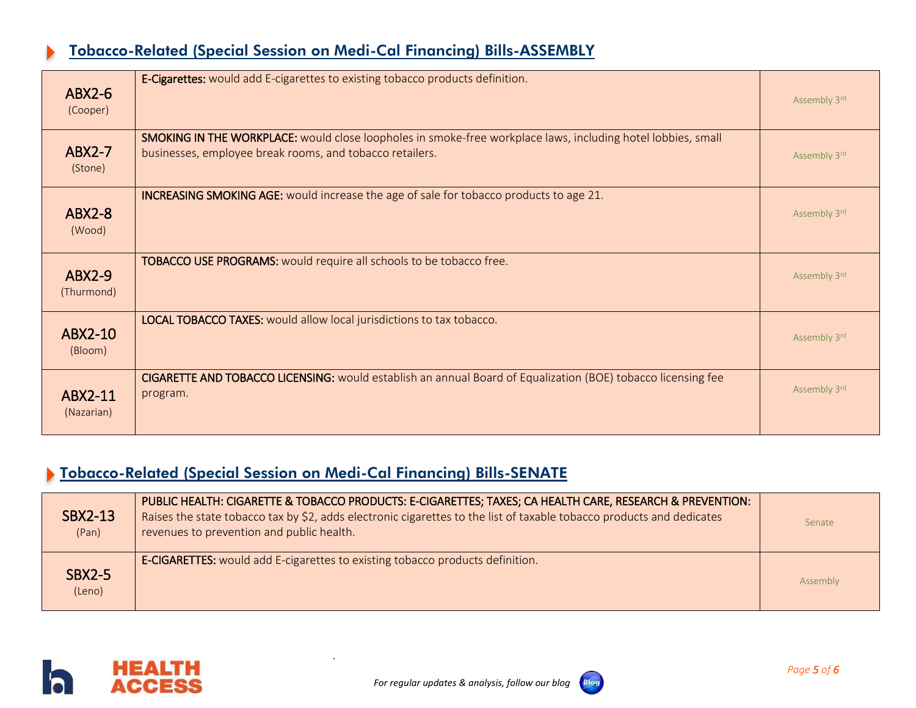## Tobacco-Related (Special Session on Medi-Cal Financing) Bills-ASSEMBLY

| $ABX2-6$<br>(Cooper)    | E-Cigarettes: would add E-cigarettes to existing tobacco products definition.                                                                                            | Assembly 3rd |
|-------------------------|--------------------------------------------------------------------------------------------------------------------------------------------------------------------------|--------------|
| $ABX2-7$<br>(Stone)     | SMOKING IN THE WORKPLACE: would close loopholes in smoke-free workplace laws, including hotel lobbies, small<br>businesses, employee break rooms, and tobacco retailers. | Assembly 3rd |
| <b>ABX2-8</b><br>(Wood) | <b>INCREASING SMOKING AGE:</b> would increase the age of sale for tobacco products to age 21.                                                                            | Assembly 3rd |
| $ABX2-9$<br>(Thurmond)  | TOBACCO USE PROGRAMS: would require all schools to be tobacco free.                                                                                                      | Assembly 3rd |
| ABX2-10<br>(Bloom)      | <b>LOCAL TOBACCO TAXES:</b> would allow local jurisdictions to tax tobacco.                                                                                              | Assembly 3rd |
| ABX2-11<br>(Nazarian)   | CIGARETTE AND TOBACCO LICENSING: would establish an annual Board of Equalization (BOE) tobacco licensing fee<br>program.                                                 | Assembly 3rd |

## Tobacco-Related (Special Session on Medi-Cal Financing) Bills-SENATE

| <b>SBX2-13</b><br>(Pan) | PUBLIC HEALTH: CIGARETTE & TOBACCO PRODUCTS: E-CIGARETTES; TAXES; CA HEALTH CARE, RESEARCH & PREVENTION:<br>Raises the state tobacco tax by \$2, adds electronic cigarettes to the list of taxable tobacco products and dedicates<br>revenues to prevention and public health. | Senate   |
|-------------------------|--------------------------------------------------------------------------------------------------------------------------------------------------------------------------------------------------------------------------------------------------------------------------------|----------|
| <b>SBX2-5</b><br>(Leno) | <b>E-CIGARETTES:</b> would add E-cigarettes to existing tobacco products definition.                                                                                                                                                                                           | Assembly |